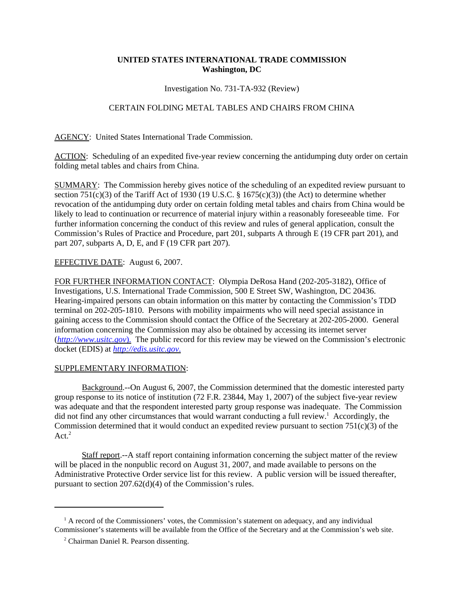## **UNITED STATES INTERNATIONAL TRADE COMMISSION Washington, DC**

Investigation No. 731-TA-932 (Review)

## CERTAIN FOLDING METAL TABLES AND CHAIRS FROM CHINA

AGENCY: United States International Trade Commission.

ACTION: Scheduling of an expedited five-year review concerning the antidumping duty order on certain folding metal tables and chairs from China.

SUMMARY: The Commission hereby gives notice of the scheduling of an expedited review pursuant to section 751(c)(3) of the Tariff Act of 1930 (19 U.S.C.  $\S$  1675(c)(3)) (the Act) to determine whether revocation of the antidumping duty order on certain folding metal tables and chairs from China would be likely to lead to continuation or recurrence of material injury within a reasonably foreseeable time. For further information concerning the conduct of this review and rules of general application, consult the Commission's Rules of Practice and Procedure, part 201, subparts A through E (19 CFR part 201), and part 207, subparts A, D, E, and F (19 CFR part 207).

## EFFECTIVE DATE: August 6, 2007.

FOR FURTHER INFORMATION CONTACT: Olympia DeRosa Hand (202-205-3182), Office of Investigations, U.S. International Trade Commission, 500 E Street SW, Washington, DC 20436. Hearing-impaired persons can obtain information on this matter by contacting the Commission's TDD terminal on 202-205-1810. Persons with mobility impairments who will need special assistance in gaining access to the Commission should contact the Office of the Secretary at 202-205-2000. General information concerning the Commission may also be obtained by accessing its internet server (*http://www.usitc.gov*). The public record for this review may be viewed on the Commission's electronic docket (EDIS) at *http://edis.usitc.gov*.

## SUPPLEMENTARY INFORMATION:

Background.--On August 6, 2007, the Commission determined that the domestic interested party group response to its notice of institution (72 F.R. 23844, May 1, 2007) of the subject five-year review was adequate and that the respondent interested party group response was inadequate. The Commission did not find any other circumstances that would warrant conducting a full review.<sup>1</sup> Accordingly, the Commission determined that it would conduct an expedited review pursuant to section  $751(c)(3)$  of the Act. $2$ 

Staff report.--A staff report containing information concerning the subject matter of the review will be placed in the nonpublic record on August 31, 2007, and made available to persons on the Administrative Protective Order service list for this review. A public version will be issued thereafter, pursuant to section 207.62(d)(4) of the Commission's rules.

<sup>&</sup>lt;sup>1</sup> A record of the Commissioners' votes, the Commission's statement on adequacy, and any individual Commissioner's statements will be available from the Office of the Secretary and at the Commission's web site.

<sup>&</sup>lt;sup>2</sup> Chairman Daniel R. Pearson dissenting.